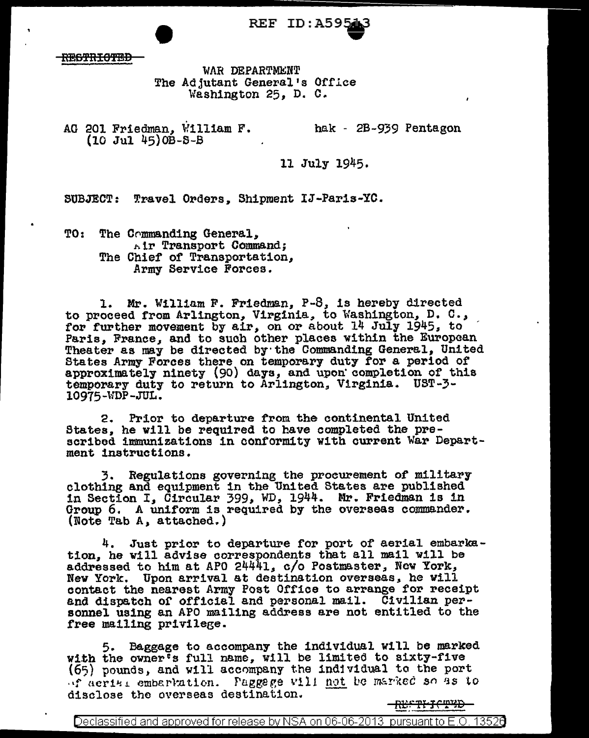REF ID:A5954

<del>RESTRICTED</del>

WAR DEPARTMENT The Adjutant General's Offlee Washington 25, D. C.

AG 201 Friedman, William F. (10 Jul 45}0B-S-B . hak - 2B-939 Pentagon

11 July 1945.

SUBJECT: Travel Orders, Shipment IJ-Paris-YC.

TO: The Commanding General,  $n!$  **Transport Command;** The Chief of Transportation,<br>Army Service Forces.

1. Mr. William F. Friedman, P-8, is hereby directed to proceed from Arlington, Virginia, to Washington, D. C., for further movement by air, on or about  $14$  July 1945, to Faris, France, and to such other places within the European Theater as may be directed by the Commanding General, United States Army Forces there on temporary duty for a period of approximately ninety  $(90)$  days, and upon completion of this temporary duty to return to Arlington, Virginia. UST-3- 10975-WDP-JUL.

2. Prior to departure from the continental United<br>States, he will be required to have completed the prescribed immunizations in conformity with current War Department instructions.

3. Regulations governing the procurement of military clothing and equipment in the United States are published 1n Section I, Circular 399, WD, 1944. Mr. Friedman is in Group 6. A uniform is required by the overseas commander. (Note Tab  $A_{\star}$  attached.)

4. Just prior to departure for port of aerial embarkation, he will advise correspondents that all mail will be addressed to him at APO 24441, c/o Postmaster, New York, Nev York. Upon arrival at destination overseas, he will contact the nearest Army Post Office to arrange for receipt and dispatch or official and personal mail. Civilian per- sonnel using an APO mailing address are not entitled to the free mailing privilege.

5. Baggage to accompany the individual will be marked with the owner's full name, will be limited to sixty-five (65) pounds, and will accompany the individual to the port of acries embertation. Paggege will not be marked so as to disclose the overseas destination.

<del>-REFTFICTED-</del>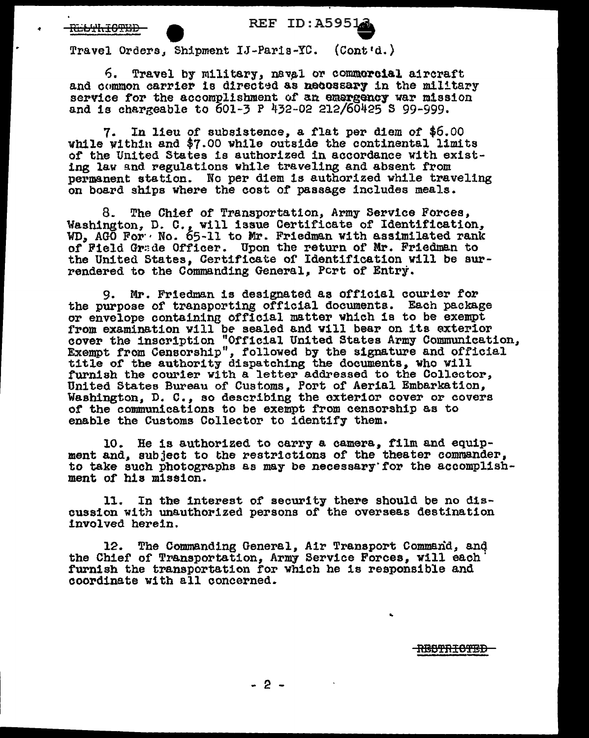## REF ID: A5951

Travel Orders, Shipment IJ-Paris-YC. (Cont'd.)

6. Travel by military, naval or commercial aircraft and common carrier is directed as necossary in the military service for the accomplishment of an emergency war mission service for the accomplishment of an emergency war mission and is chargeable to  $601-3$  P  $432-02$  212/60425 S 99-999.

7. In lieu of subsistence, a flat per diem of \$6.00 while within and \$7.00 while outside the continental limits of the United States is authorized in accordance with existing law and regulations while traveling and absent from permanent station. No per diem 1s authorized while traveling on board ships where the cost of passage includes meals.

8. The Chief of Transportation, Army Service Forces, Washington, D. C., will issue Certificate of Identification, WD, AGO For  $\cdot$  No. 65-11 to Mr. Friedman with assimilated rank of Field Gr:de Officer. Upon the return of Mr. Friedman to the United States, Certificate or Identification will be surrendered to the Commanding General, Pert of Entry.

9. Mr. Friedman is designated as official courier for the purpose of transporting official documents. Each package or envelope containing official matter which is to be exempt from examination will be sealed and will bear on its exterior cover the inscription "Official United States Army Communication, Exempt from Censorship", followed by the signature and official exempt from censorship, followed by the signature and officially furnish the courier with a letter addressed to the Colloctor, United States Bureau of Customs, Port of Aerial Embarkation, Washington, D. c., so describing the exterior cover or covers *ot* the communications to be exempt from censorship as to enable the Customs Collector to identify them.

10. He is authorized to carry a camera, film and equipment and, subject to tbe restrictions of the theater commander, to take such photographs as may be necessary for the accomplishment of his mission.

11. In the interest of security there should be no discussion with unauthorized persons of the overseas destination involved herein.

12. The Commanding General, Air Transport Command, anq the Chief of Transportation, Army Service Forces, will each' furnish the transportation for which he is responsible and coordinate with all concerned.

RBBTR<del>ICTED</del>

..

- 2 -